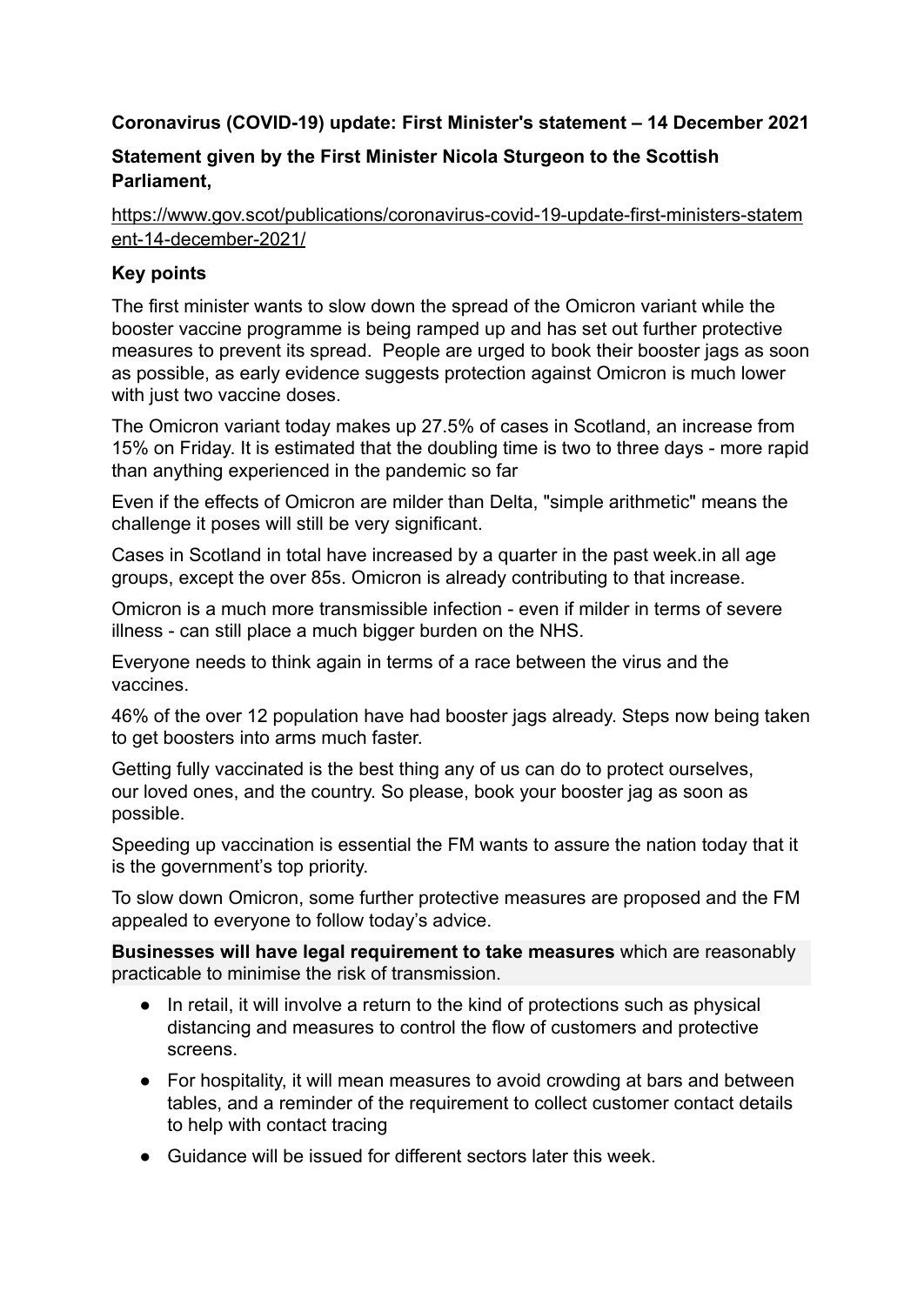# **Coronavirus (COVID-19) update: First Minister's statement – 14 December 2021**

# **Statement given by the First Minister Nicola Sturgeon to the Scottish Parliament,**

[https://www.gov.scot/publications/coronavirus-covid-19-update-first-ministers-statem](https://www.gov.scot/publications/coronavirus-covid-19-update-first-ministers-statement-14-december-2021/) [ent-14-december-2021/](https://www.gov.scot/publications/coronavirus-covid-19-update-first-ministers-statement-14-december-2021/)

## **Key points**

The first minister wants to slow down the spread of the Omicron variant while the booster vaccine programme is being ramped up and has set out further protective measures to prevent its spread. People are urged to book their booster jags as soon as possible, as early evidence suggests protection against Omicron is much lower with just two vaccine doses.

The Omicron variant today makes up 27.5% of cases in Scotland, an increase from 15% on Friday. It is estimated that the doubling time is two to three days - more rapid than anything experienced in the pandemic so far

Even if the effects of Omicron are milder than Delta, "simple arithmetic" means the challenge it poses will still be very significant.

Cases in Scotland in total have increased by a quarter in the past week.in all age groups, except the over 85s. Omicron is already contributing to that increase.

Omicron is a much more transmissible infection - even if milder in terms of severe illness - can still place a much bigger burden on the NHS.

Everyone needs to think again in terms of a race between the virus and the vaccines.

46% of the over 12 population have had booster jags already. Steps now being taken to get boosters into arms much faster.

Getting fully vaccinated is the best thing any of us can do to protect ourselves, our loved ones, and the country. So please, book your booster jag as soon as possible.

Speeding up vaccination is essential the FM wants to assure the nation today that it is the government's top priority.

To slow down Omicron, some further protective measures are proposed and the FM appealed to everyone to follow today's advice.

**Businesses will have legal requirement to take measures** which are reasonably practicable to minimise the risk of transmission.

- In retail, it will involve a return to the kind of protections such as physical distancing and measures to control the flow of customers and protective screens.
- For hospitality, it will mean measures to avoid crowding at bars and between tables, and a reminder of the requirement to collect customer contact details to help with contact tracing
- Guidance will be issued for different sectors later this week.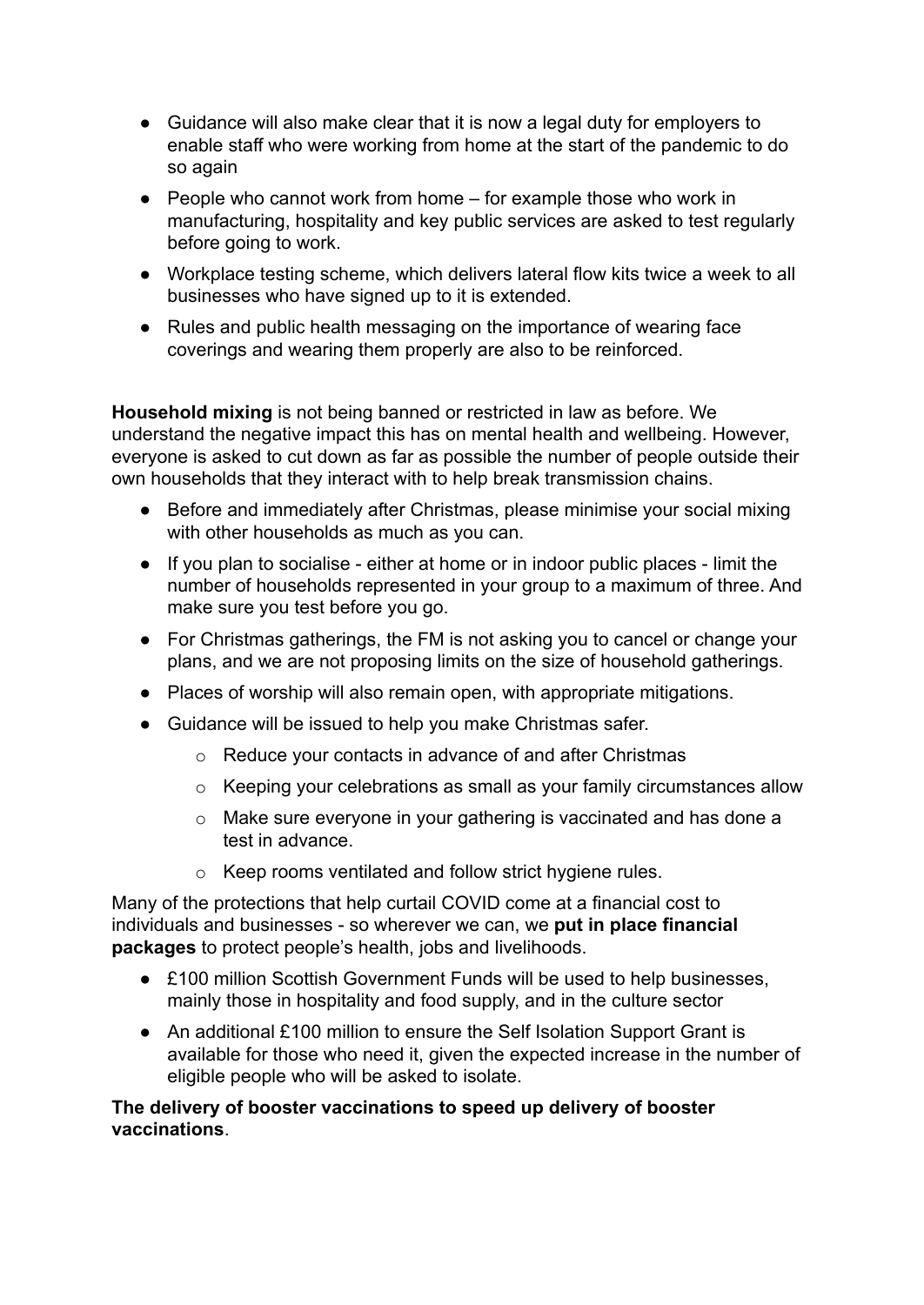- Guidance will also make clear that it is now a legal duty for employers to enable staff who were working from home at the start of the pandemic to do so again
- People who cannot work from home for example those who work in manufacturing, hospitality and key public services are asked to test regularly before going to work.
- Workplace testing scheme, which delivers lateral flow kits twice a week to all businesses who have signed up to it is extended.
- Rules and public health messaging on the importance of wearing face coverings and wearing them properly are also to be reinforced.

**Household mixing** is not being banned or restricted in law as before. We understand the negative impact this has on mental health and wellbeing. However, everyone is asked to cut down as far as possible the number of people outside their own households that they interact with to help break transmission chains.

- Before and immediately after Christmas, please minimise your social mixing with other households as much as you can.
- If you plan to socialise either at home or in indoor public places limit the number of households represented in your group to a maximum of three. And make sure you test before you go.
- For Christmas gatherings, the FM is not asking you to cancel or change your plans, and we are not proposing limits on the size of household gatherings.
- Places of worship will also remain open, with appropriate mitigations.
- Guidance will be issued to help you make Christmas safer.
	- o Reduce your contacts in advance of and after Christmas
	- o Keeping your celebrations as small as your family circumstances allow
	- o Make sure everyone in your gathering is vaccinated and has done a test in advance.
	- o Keep rooms ventilated and follow strict hygiene rules.

Many of the protections that help curtail COVID come at a financial cost to individuals and businesses - so wherever we can, we **put in place financial packages** to protect people's health, jobs and livelihoods.

- £100 million Scottish Government Funds will be used to help businesses, mainly those in hospitality and food supply, and in the culture sector
- An additional £100 million to ensure the Self Isolation Support Grant is available for those who need it, given the expected increase in the number of eligible people who will be asked to isolate.

## **The delivery of booster vaccinations to speed up delivery of booster vaccinations**.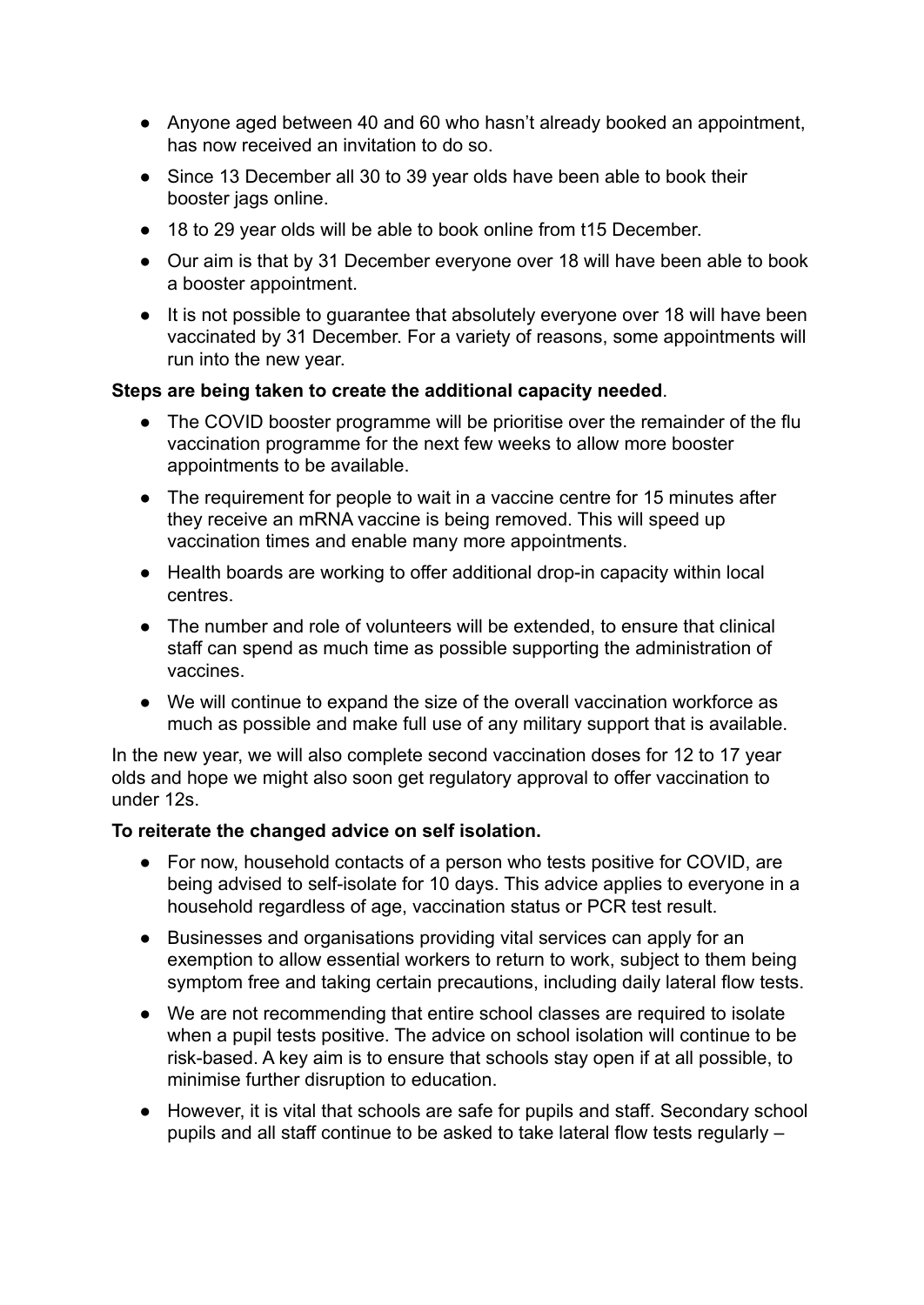- Anyone aged between 40 and 60 who hasn't already booked an appointment, has now received an invitation to do so.
- Since 13 December all 30 to 39 year olds have been able to book their booster jags online.
- 18 to 29 year olds will be able to book online from t15 December.
- Our aim is that by 31 December everyone over 18 will have been able to book a booster appointment.
- It is not possible to guarantee that absolutely everyone over 18 will have been vaccinated by 31 December. For a variety of reasons, some appointments will run into the new year.

### **Steps are being taken to create the additional capacity needed**.

- The COVID booster programme will be prioritise over the remainder of the flu vaccination programme for the next few weeks to allow more booster appointments to be available.
- The requirement for people to wait in a vaccine centre for 15 minutes after they receive an mRNA vaccine is being removed. This will speed up vaccination times and enable many more appointments.
- Health boards are working to offer additional drop-in capacity within local centres.
- The number and role of volunteers will be extended, to ensure that clinical staff can spend as much time as possible supporting the administration of vaccines.
- We will continue to expand the size of the overall vaccination workforce as much as possible and make full use of any military support that is available.

In the new year, we will also complete second vaccination doses for 12 to 17 year olds and hope we might also soon get regulatory approval to offer vaccination to under 12s.

### **To reiterate the changed advice on self isolation.**

- For now, household contacts of a person who tests positive for COVID, are being advised to self-isolate for 10 days. This advice applies to everyone in a household regardless of age, vaccination status or PCR test result.
- Businesses and organisations providing vital services can apply for an exemption to allow essential workers to return to work, subject to them being symptom free and taking certain precautions, including daily lateral flow tests.
- We are not recommending that entire school classes are required to isolate when a pupil tests positive. The advice on school isolation will continue to be risk-based. A key aim is to ensure that schools stay open if at all possible, to minimise further disruption to education.
- However, it is vital that schools are safe for pupils and staff. Secondary school pupils and all staff continue to be asked to take lateral flow tests regularly –